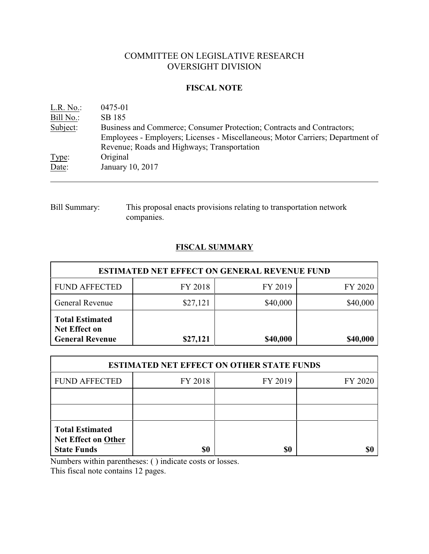# COMMITTEE ON LEGISLATIVE RESEARCH OVERSIGHT DIVISION

# **FISCAL NOTE**

| L.R. No.  | 0475-01                                                                        |
|-----------|--------------------------------------------------------------------------------|
| Bill No.: | SB 185                                                                         |
| Subject:  | Business and Commerce; Consumer Protection; Contracts and Contractors;         |
|           | Employees - Employers; Licenses - Miscellaneous; Motor Carriers; Department of |
|           | Revenue; Roads and Highways; Transportation                                    |
| Type:     | Original                                                                       |
| Date:     | January 10, 2017                                                               |
|           |                                                                                |

Bill Summary: This proposal enacts provisions relating to transportation network companies.

# **FISCAL SUMMARY**

| <b>ESTIMATED NET EFFECT ON GENERAL REVENUE FUND</b>                      |          |          |          |  |  |
|--------------------------------------------------------------------------|----------|----------|----------|--|--|
| <b>FUND AFFECTED</b>                                                     | FY 2018  | FY 2019  | FY 2020  |  |  |
| <b>General Revenue</b>                                                   | \$27,121 | \$40,000 | \$40,000 |  |  |
| <b>Total Estimated</b><br><b>Net Effect on</b><br><b>General Revenue</b> | \$27,121 | \$40,000 | \$40,000 |  |  |

| <b>ESTIMATED NET EFFECT ON OTHER STATE FUNDS</b>                           |         |         |         |  |  |
|----------------------------------------------------------------------------|---------|---------|---------|--|--|
| <b>FUND AFFECTED</b>                                                       | FY 2018 | FY 2019 | FY 2020 |  |  |
|                                                                            |         |         |         |  |  |
|                                                                            |         |         |         |  |  |
| <b>Total Estimated</b><br><b>Net Effect on Other</b><br><b>State Funds</b> |         | \$0     |         |  |  |

Numbers within parentheses: ( ) indicate costs or losses.

This fiscal note contains 12 pages.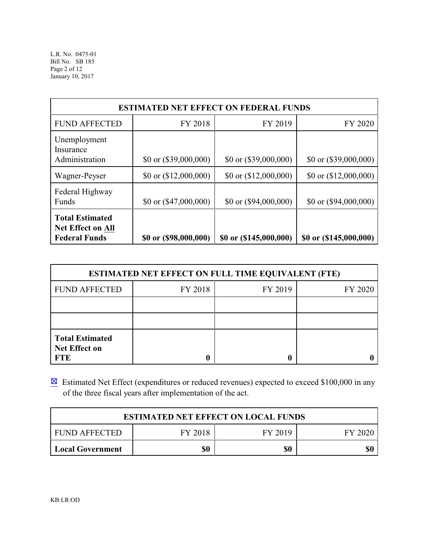| <b>ESTIMATED NET EFFECT ON FEDERAL FUNDS</b>                        |                         |                         |                                |  |  |
|---------------------------------------------------------------------|-------------------------|-------------------------|--------------------------------|--|--|
| <b>FUND AFFECTED</b>                                                | FY 2018                 | FY 2019                 | FY 2020                        |  |  |
| Unemployment<br>Insurance<br>Administration                         | \$0 or $(\$39,000,000)$ | \$0 or $(\$39,000,000)$ | \$0 or $(\$39,000,000)$        |  |  |
| Wagner-Peyser                                                       | \$0 or $(12,000,000)$   | \$0 or $(\$12,000,000)$ | $$0 \text{ or } ($12,000,000)$ |  |  |
| Federal Highway<br>Funds                                            | \$0 or $(\$47,000,000)$ | \$0 or $(\$94,000,000)$ | $$0 \text{ or } ($94,000,000)$ |  |  |
| <b>Total Estimated</b><br>Net Effect on All<br><b>Federal Funds</b> | \$0 or (\$98,000,000)   | \$0 or (\$145,000,000)  | \$0 or (\$145,000,000)         |  |  |

| <b>ESTIMATED NET EFFECT ON FULL TIME EQUIVALENT (FTE)</b>    |         |         |         |  |  |
|--------------------------------------------------------------|---------|---------|---------|--|--|
| <b>FUND AFFECTED</b>                                         | FY 2018 | FY 2019 | FY 2020 |  |  |
|                                                              |         |         |         |  |  |
|                                                              |         |         |         |  |  |
| <b>Total Estimated</b><br><b>Net Effect on</b><br><b>FTE</b> |         |         |         |  |  |

 $\boxtimes$  Estimated Net Effect (expenditures or reduced revenues) expected to exceed \$100,000 in any of the three fiscal years after implementation of the act.

| <b>ESTIMATED NET EFFECT ON LOCAL FUNDS</b> |         |         |         |  |
|--------------------------------------------|---------|---------|---------|--|
| I FUND AFFECTED                            | FY 2018 | FY 2019 | EY 2020 |  |
| Local Government                           | \$0     | \$0     |         |  |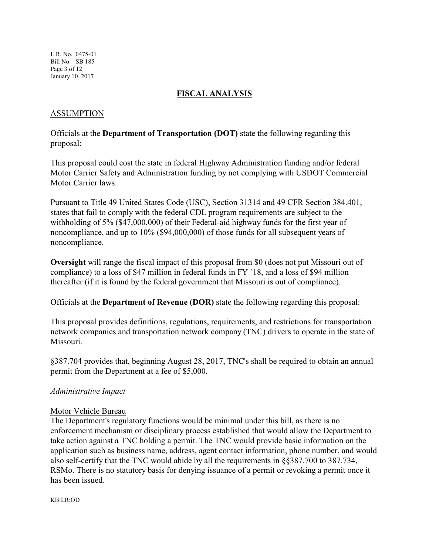L.R. No. 0475-01 Bill No. SB 185 Page 3 of 12 January 10, 2017

# **FISCAL ANALYSIS**

# ASSUMPTION

Officials at the **Department of Transportation (DOT)** state the following regarding this proposal:

This proposal could cost the state in federal Highway Administration funding and/or federal Motor Carrier Safety and Administration funding by not complying with USDOT Commercial Motor Carrier laws.

Pursuant to Title 49 United States Code (USC), Section 31314 and 49 CFR Section 384.401, states that fail to comply with the federal CDL program requirements are subject to the withholding of 5% (\$47,000,000) of their Federal-aid highway funds for the first year of noncompliance, and up to 10% (\$94,000,000) of those funds for all subsequent years of noncompliance.

**Oversight** will range the fiscal impact of this proposal from \$0 (does not put Missouri out of compliance) to a loss of \$47 million in federal funds in FY `18, and a loss of \$94 million thereafter (if it is found by the federal government that Missouri is out of compliance).

Officials at the **Department of Revenue (DOR)** state the following regarding this proposal:

This proposal provides definitions, regulations, requirements, and restrictions for transportation network companies and transportation network company (TNC) drivers to operate in the state of Missouri.

§387.704 provides that, beginning August 28, 2017, TNC's shall be required to obtain an annual permit from the Department at a fee of \$5,000.

## *Administrative Impact*

## Motor Vehicle Bureau

The Department's regulatory functions would be minimal under this bill, as there is no enforcement mechanism or disciplinary process established that would allow the Department to take action against a TNC holding a permit. The TNC would provide basic information on the application such as business name, address, agent contact information, phone number, and would also self-certify that the TNC would abide by all the requirements in §§387.700 to 387.734, RSMo. There is no statutory basis for denying issuance of a permit or revoking a permit once it has been issued.

KB:LR:OD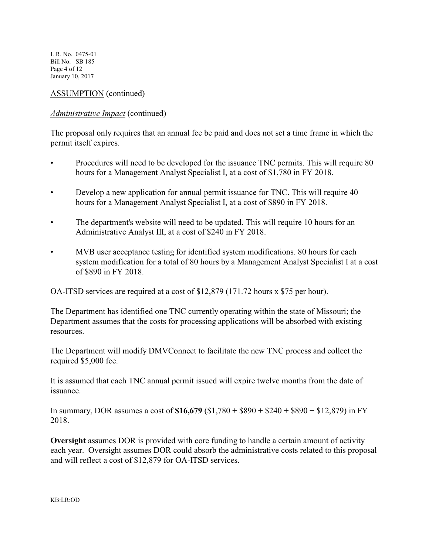L.R. No. 0475-01 Bill No. SB 185 Page 4 of 12 January 10, 2017

# ASSUMPTION (continued)

# *Administrative Impact* (continued)

The proposal only requires that an annual fee be paid and does not set a time frame in which the permit itself expires.

- Procedures will need to be developed for the issuance TNC permits. This will require 80 hours for a Management Analyst Specialist I, at a cost of \$1,780 in FY 2018.
- Develop a new application for annual permit issuance for TNC. This will require 40 hours for a Management Analyst Specialist I, at a cost of \$890 in FY 2018.
- The department's website will need to be updated. This will require 10 hours for an Administrative Analyst III, at a cost of \$240 in FY 2018.
- MVB user acceptance testing for identified system modifications. 80 hours for each system modification for a total of 80 hours by a Management Analyst Specialist I at a cost of \$890 in FY 2018.

OA-ITSD services are required at a cost of \$12,879 (171.72 hours x \$75 per hour).

The Department has identified one TNC currently operating within the state of Missouri; the Department assumes that the costs for processing applications will be absorbed with existing resources.

The Department will modify DMVConnect to facilitate the new TNC process and collect the required \$5,000 fee.

It is assumed that each TNC annual permit issued will expire twelve months from the date of issuance.

In summary, DOR assumes a cost of **\$16,679** (\$1,780 + \$890 + \$240 + \$890 + \$12,879) in FY 2018.

**Oversight** assumes DOR is provided with core funding to handle a certain amount of activity each year. Oversight assumes DOR could absorb the administrative costs related to this proposal and will reflect a cost of \$12,879 for OA-ITSD services.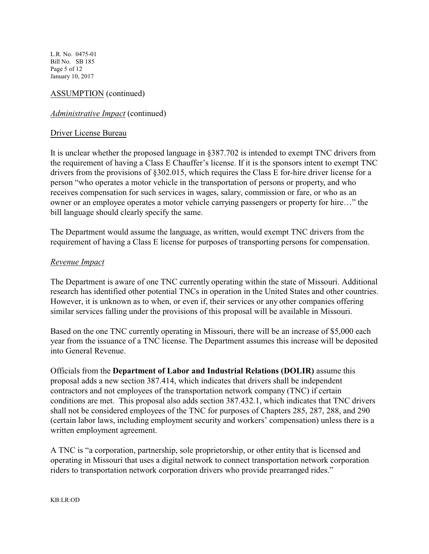L.R. No. 0475-01 Bill No. SB 185 Page 5 of 12 January 10, 2017

# ASSUMPTION (continued)

### *Administrative Impact* (continued)

#### Driver License Bureau

It is unclear whether the proposed language in §387.702 is intended to exempt TNC drivers from the requirement of having a Class E Chauffer's license. If it is the sponsors intent to exempt TNC drivers from the provisions of §302.015, which requires the Class E for-hire driver license for a person "who operates a motor vehicle in the transportation of persons or property, and who receives compensation for such services in wages, salary, commission or fare, or who as an owner or an employee operates a motor vehicle carrying passengers or property for hire…" the bill language should clearly specify the same.

The Department would assume the language, as written, would exempt TNC drivers from the requirement of having a Class E license for purposes of transporting persons for compensation.

#### *Revenue Impact*

The Department is aware of one TNC currently operating within the state of Missouri. Additional research has identified other potential TNCs in operation in the United States and other countries. However, it is unknown as to when, or even if, their services or any other companies offering similar services falling under the provisions of this proposal will be available in Missouri.

Based on the one TNC currently operating in Missouri, there will be an increase of \$5,000 each year from the issuance of a TNC license. The Department assumes this increase will be deposited into General Revenue.

Officials from the **Department of Labor and Industrial Relations (DOLIR)** assume this proposal adds a new section 387.414, which indicates that drivers shall be independent contractors and not employees of the transportation network company (TNC) if certain conditions are met. This proposal also adds section 387.432.1, which indicates that TNC drivers shall not be considered employees of the TNC for purposes of Chapters 285, 287, 288, and 290 (certain labor laws, including employment security and workers' compensation) unless there is a written employment agreement.

A TNC is "a corporation, partnership, sole proprietorship, or other entity that is licensed and operating in Missouri that uses a digital network to connect transportation network corporation riders to transportation network corporation drivers who provide prearranged rides."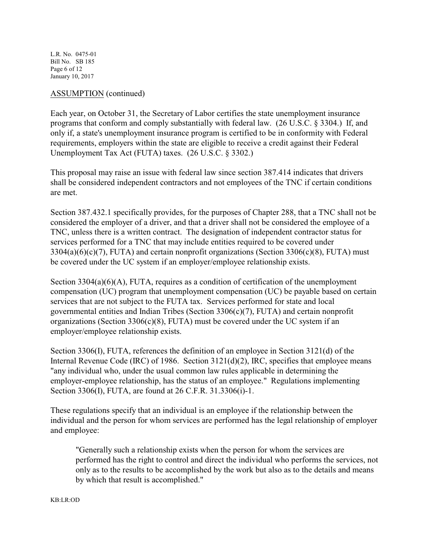L.R. No. 0475-01 Bill No. SB 185 Page 6 of 12 January 10, 2017

### ASSUMPTION (continued)

Each year, on October 31, the Secretary of Labor certifies the state unemployment insurance programs that conform and comply substantially with federal law. (26 U.S.C. § 3304.) If, and only if, a state's unemployment insurance program is certified to be in conformity with Federal requirements, employers within the state are eligible to receive a credit against their Federal Unemployment Tax Act (FUTA) taxes. (26 U.S.C. § 3302.)

This proposal may raise an issue with federal law since section 387.414 indicates that drivers shall be considered independent contractors and not employees of the TNC if certain conditions are met.

Section 387.432.1 specifically provides, for the purposes of Chapter 288, that a TNC shall not be considered the employer of a driver, and that a driver shall not be considered the employee of a TNC, unless there is a written contract. The designation of independent contractor status for services performed for a TNC that may include entities required to be covered under  $3304(a)(6)(c)(7)$ , FUTA) and certain nonprofit organizations (Section 3306(c)(8), FUTA) must be covered under the UC system if an employer/employee relationship exists.

Section  $3304(a)(6)(A)$ , FUTA, requires as a condition of certification of the unemployment compensation (UC) program that unemployment compensation (UC) be payable based on certain services that are not subject to the FUTA tax. Services performed for state and local governmental entities and Indian Tribes (Section 3306(c)(7), FUTA) and certain nonprofit organizations (Section  $3306(c)(8)$ , FUTA) must be covered under the UC system if an employer/employee relationship exists.

Section 3306(I), FUTA, references the definition of an employee in Section 3121(d) of the Internal Revenue Code (IRC) of 1986. Section 3121(d)(2), IRC, specifies that employee means "any individual who, under the usual common law rules applicable in determining the employer-employee relationship, has the status of an employee." Regulations implementing Section 3306(I), FUTA, are found at 26 C.F.R. 31.3306(i)-1.

These regulations specify that an individual is an employee if the relationship between the individual and the person for whom services are performed has the legal relationship of employer and employee:

"Generally such a relationship exists when the person for whom the services are performed has the right to control and direct the individual who performs the services, not only as to the results to be accomplished by the work but also as to the details and means by which that result is accomplished."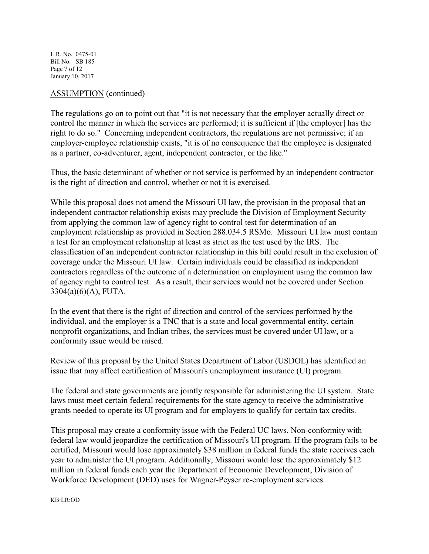L.R. No. 0475-01 Bill No. SB 185 Page 7 of 12 January 10, 2017

### ASSUMPTION (continued)

The regulations go on to point out that "it is not necessary that the employer actually direct or control the manner in which the services are performed; it is sufficient if [the employer] has the right to do so." Concerning independent contractors, the regulations are not permissive; if an employer-employee relationship exists, "it is of no consequence that the employee is designated as a partner, co-adventurer, agent, independent contractor, or the like."

Thus, the basic determinant of whether or not service is performed by an independent contractor is the right of direction and control, whether or not it is exercised.

While this proposal does not amend the Missouri UI law, the provision in the proposal that an independent contractor relationship exists may preclude the Division of Employment Security from applying the common law of agency right to control test for determination of an employment relationship as provided in Section 288.034.5 RSMo. Missouri UI law must contain a test for an employment relationship at least as strict as the test used by the IRS. The classification of an independent contractor relationship in this bill could result in the exclusion of coverage under the Missouri UI law. Certain individuals could be classified as independent contractors regardless of the outcome of a determination on employment using the common law of agency right to control test. As a result, their services would not be covered under Section 3304(a)(6)(A), FUTA.

In the event that there is the right of direction and control of the services performed by the individual, and the employer is a TNC that is a state and local governmental entity, certain nonprofit organizations, and Indian tribes, the services must be covered under UI law, or a conformity issue would be raised.

Review of this proposal by the United States Department of Labor (USDOL) has identified an issue that may affect certification of Missouri's unemployment insurance (UI) program.

The federal and state governments are jointly responsible for administering the UI system. State laws must meet certain federal requirements for the state agency to receive the administrative grants needed to operate its UI program and for employers to qualify for certain tax credits.

This proposal may create a conformity issue with the Federal UC laws. Non-conformity with federal law would jeopardize the certification of Missouri's UI program. If the program fails to be certified, Missouri would lose approximately \$38 million in federal funds the state receives each year to administer the UI program. Additionally, Missouri would lose the approximately \$12 million in federal funds each year the Department of Economic Development, Division of Workforce Development (DED) uses for Wagner-Peyser re-employment services.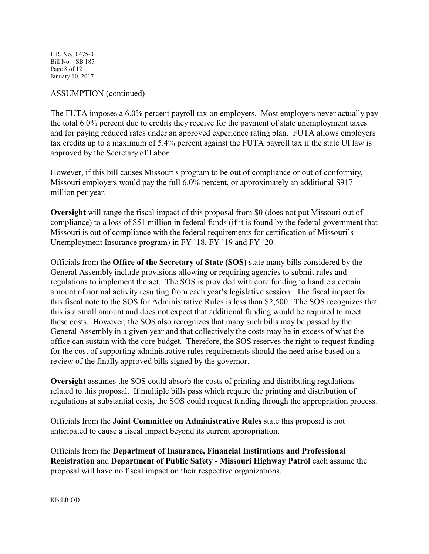L.R. No. 0475-01 Bill No. SB 185 Page 8 of 12 January 10, 2017

# ASSUMPTION (continued)

The FUTA imposes a 6.0% percent payroll tax on employers. Most employers never actually pay the total 6.0% percent due to credits they receive for the payment of state unemployment taxes and for paying reduced rates under an approved experience rating plan. FUTA allows employers tax credits up to a maximum of 5.4% percent against the FUTA payroll tax if the state UI law is approved by the Secretary of Labor.

However, if this bill causes Missouri's program to be out of compliance or out of conformity, Missouri employers would pay the full 6.0% percent, or approximately an additional \$917 million per year.

**Oversight** will range the fiscal impact of this proposal from \$0 (does not put Missouri out of compliance) to a loss of \$51 million in federal funds (if it is found by the federal government that Missouri is out of compliance with the federal requirements for certification of Missouri's Unemployment Insurance program) in FY `18, FY `19 and FY `20.

Officials from the **Office of the Secretary of State (SOS)** state many bills considered by the General Assembly include provisions allowing or requiring agencies to submit rules and regulations to implement the act. The SOS is provided with core funding to handle a certain amount of normal activity resulting from each year's legislative session. The fiscal impact for this fiscal note to the SOS for Administrative Rules is less than \$2,500. The SOS recognizes that this is a small amount and does not expect that additional funding would be required to meet these costs. However, the SOS also recognizes that many such bills may be passed by the General Assembly in a given year and that collectively the costs may be in excess of what the office can sustain with the core budget. Therefore, the SOS reserves the right to request funding for the cost of supporting administrative rules requirements should the need arise based on a review of the finally approved bills signed by the governor.

**Oversight** assumes the SOS could absorb the costs of printing and distributing regulations related to this proposal. If multiple bills pass which require the printing and distribution of regulations at substantial costs, the SOS could request funding through the appropriation process.

Officials from the **Joint Committee on Administrative Rules** state this proposal is not anticipated to cause a fiscal impact beyond its current appropriation.

Officials from the **Department of Insurance, Financial Institutions and Professional Registration** and **Department of Public Safety - Missouri Highway Patrol** each assume the proposal will have no fiscal impact on their respective organizations.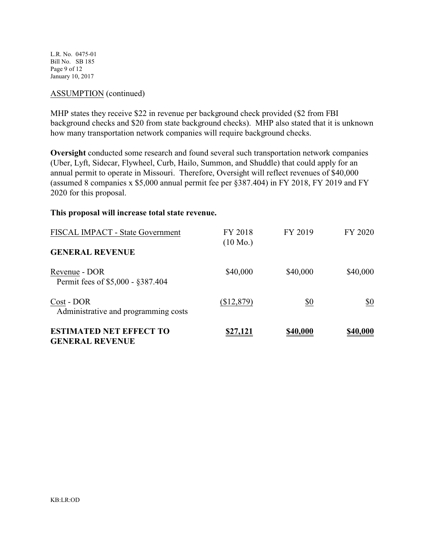L.R. No. 0475-01 Bill No. SB 185 Page 9 of 12 January 10, 2017

### ASSUMPTION (continued)

MHP states they receive \$22 in revenue per background check provided (\$2 from FBI background checks and \$20 from state background checks). MHP also stated that it is unknown how many transportation network companies will require background checks.

**Oversight** conducted some research and found several such transportation network companies (Uber, Lyft, Sidecar, Flywheel, Curb, Hailo, Summon, and Shuddle) that could apply for an annual permit to operate in Missouri. Therefore, Oversight will reflect revenues of \$40,000 (assumed 8 companies x \$5,000 annual permit fee per §387.404) in FY 2018, FY 2019 and FY 2020 for this proposal.

#### **This proposal will increase total state revenue.**

| <b>FISCAL IMPACT - State Government</b>                  | FY 2018<br>$(10 \text{ Mo.})$ | FY 2019  | FY 2020  |
|----------------------------------------------------------|-------------------------------|----------|----------|
| <b>GENERAL REVENUE</b>                                   |                               |          |          |
| Revenue - DOR<br>Permit fees of \$5,000 - \$387.404      | \$40,000                      | \$40,000 | \$40,000 |
| Cost - DOR<br>Administrative and programming costs       | (\$12,879)                    | \$0      | \$0      |
| <b>ESTIMATED NET EFFECT TO</b><br><b>GENERAL REVENUE</b> | \$27,121                      | \$40,000 | \$40,000 |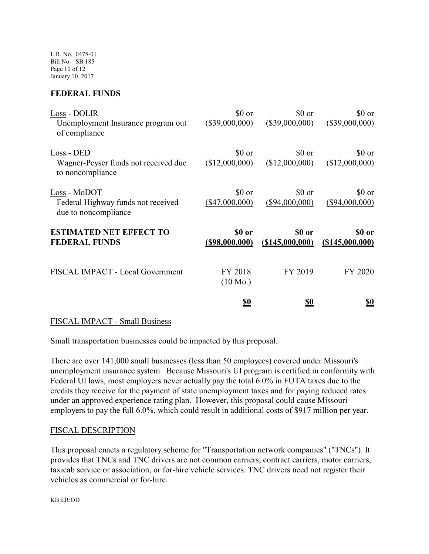L.R. No. 0475-01 Bill No. SB 185 Page 10 of 12 January 10, 2017

# **FEDERAL FUNDS**

| Loss - DOLIR<br>Unemployment Insurance program out<br>of compliance        | \$0 or<br>$(\$39,000,000)$    | \$0 or<br>$(\$39,000,000)$   | \$0 or<br>(\$39,000,000)   |
|----------------------------------------------------------------------------|-------------------------------|------------------------------|----------------------------|
| Loss - DED<br>Wagner-Peyser funds not received due<br>to noncompliance     | \$0 or<br>(\$12,000,000)      | \$0 or<br>(\$12,000,000)     | \$0 or<br>(\$12,000,000)   |
| Loss - MoDOT<br>Federal Highway funds not received<br>due to noncompliance | \$0 or<br>$(\$47,000,000)$    | \$0 or<br>$(\$94,000,000)$   | \$0 or<br>$(\$94,000,000)$ |
| <b>ESTIMATED NET EFFECT TO</b><br><b>FEDERAL FUNDS</b>                     | \$0 or<br>$($ \$98,000,000)   | \$0 or<br>$($ \$145,000,000) | \$0 or<br>(\$145,000,000)  |
| FISCAL IMPACT - Local Government                                           | FY 2018<br>$(10 \text{ Mo.})$ | FY 2019                      | FY 2020                    |
|                                                                            | <u>\$0</u>                    | <u>\$0</u>                   | <u>\$0</u>                 |

## FISCAL IMPACT - Small Business

Small transportation businesses could be impacted by this proposal.

There are over 141,000 small businesses (less than 50 employees) covered under Missouri's unemployment insurance system. Because Missouri's UI program is certified in conformity with Federal UI laws, most employers never actually pay the total 6.0% in FUTA taxes due to the credits they receive for the payment of state unemployment taxes and for paying reduced rates under an approved experience rating plan. However, this proposal could cause Missouri employers to pay the full 6.0%, which could result in additional costs of \$917 million per year.

## FISCAL DESCRIPTION

This proposal enacts a regulatory scheme for "Transportation network companies" ("TNCs"). It provides that TNCs and TNC drivers are not common carriers, contract carriers, motor carriers, taxicab service or association, or for-hire vehicle services. TNC drivers need not register their vehicles as commercial or for-hire.

KB:LR:OD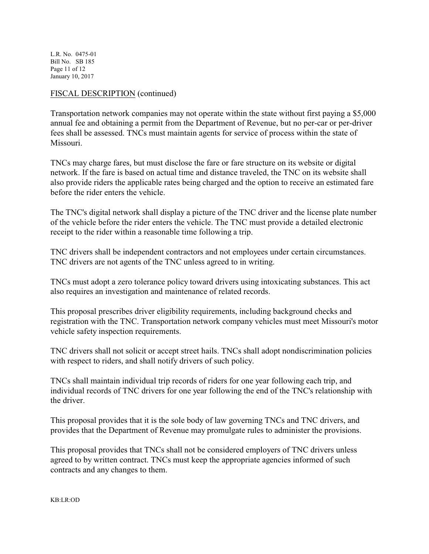L.R. No. 0475-01 Bill No. SB 185 Page 11 of 12 January 10, 2017

# FISCAL DESCRIPTION (continued)

Transportation network companies may not operate within the state without first paying a \$5,000 annual fee and obtaining a permit from the Department of Revenue, but no per-car or per-driver fees shall be assessed. TNCs must maintain agents for service of process within the state of Missouri.

TNCs may charge fares, but must disclose the fare or fare structure on its website or digital network. If the fare is based on actual time and distance traveled, the TNC on its website shall also provide riders the applicable rates being charged and the option to receive an estimated fare before the rider enters the vehicle.

The TNC's digital network shall display a picture of the TNC driver and the license plate number of the vehicle before the rider enters the vehicle. The TNC must provide a detailed electronic receipt to the rider within a reasonable time following a trip.

TNC drivers shall be independent contractors and not employees under certain circumstances. TNC drivers are not agents of the TNC unless agreed to in writing.

TNCs must adopt a zero tolerance policy toward drivers using intoxicating substances. This act also requires an investigation and maintenance of related records.

This proposal prescribes driver eligibility requirements, including background checks and registration with the TNC. Transportation network company vehicles must meet Missouri's motor vehicle safety inspection requirements.

TNC drivers shall not solicit or accept street hails. TNCs shall adopt nondiscrimination policies with respect to riders, and shall notify drivers of such policy.

TNCs shall maintain individual trip records of riders for one year following each trip, and individual records of TNC drivers for one year following the end of the TNC's relationship with the driver.

This proposal provides that it is the sole body of law governing TNCs and TNC drivers, and provides that the Department of Revenue may promulgate rules to administer the provisions.

This proposal provides that TNCs shall not be considered employers of TNC drivers unless agreed to by written contract. TNCs must keep the appropriate agencies informed of such contracts and any changes to them.